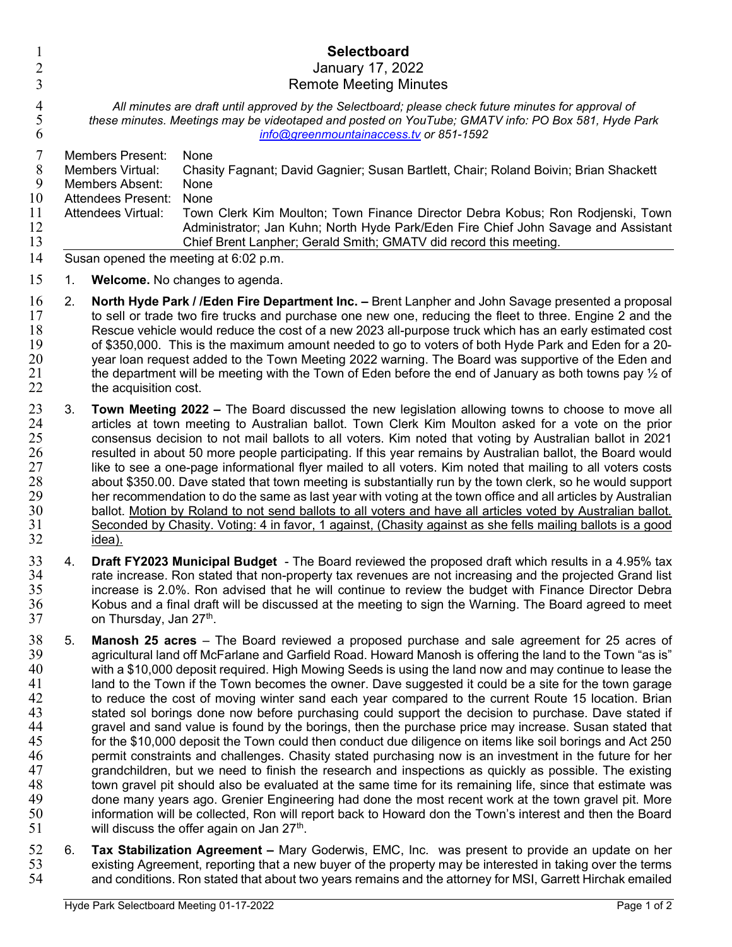| 1<br>$\overline{2}$                                                              |    | Selectboard<br>January 17, 2022                                                                                                                                                                                                                                                                                                                                                                                                                                                                                                                                                                                                                                                                                                                                                                                                                                                                                                                                                                                                                                                                                                                                                                                                                                                                                                                                                                                                                                                          |
|----------------------------------------------------------------------------------|----|------------------------------------------------------------------------------------------------------------------------------------------------------------------------------------------------------------------------------------------------------------------------------------------------------------------------------------------------------------------------------------------------------------------------------------------------------------------------------------------------------------------------------------------------------------------------------------------------------------------------------------------------------------------------------------------------------------------------------------------------------------------------------------------------------------------------------------------------------------------------------------------------------------------------------------------------------------------------------------------------------------------------------------------------------------------------------------------------------------------------------------------------------------------------------------------------------------------------------------------------------------------------------------------------------------------------------------------------------------------------------------------------------------------------------------------------------------------------------------------|
| 3<br>$\overline{4}$<br>5<br>6                                                    |    | <b>Remote Meeting Minutes</b><br>All minutes are draft until approved by the Selectboard; please check future minutes for approval of<br>these minutes. Meetings may be videotaped and posted on YouTube; GMATV info: PO Box 581, Hyde Park<br>info@greenmountainaccess.tv or 851-1592                                                                                                                                                                                                                                                                                                                                                                                                                                                                                                                                                                                                                                                                                                                                                                                                                                                                                                                                                                                                                                                                                                                                                                                                   |
| 7<br>$\,8\,$<br>9<br>10<br>11<br>12<br>13<br>14                                  |    | <b>Members Present:</b><br>None<br>Members Virtual:<br>Chasity Fagnant; David Gagnier; Susan Bartlett, Chair; Roland Boivin; Brian Shackett<br><b>Members Absent:</b><br>None<br><b>Attendees Present:</b><br>None<br>Attendees Virtual:<br>Town Clerk Kim Moulton; Town Finance Director Debra Kobus; Ron Rodjenski, Town<br>Administrator; Jan Kuhn; North Hyde Park/Eden Fire Chief John Savage and Assistant<br>Chief Brent Lanpher; Gerald Smith; GMATV did record this meeting.<br>Susan opened the meeting at 6:02 p.m.                                                                                                                                                                                                                                                                                                                                                                                                                                                                                                                                                                                                                                                                                                                                                                                                                                                                                                                                                           |
| 15                                                                               | 1. | Welcome. No changes to agenda.                                                                                                                                                                                                                                                                                                                                                                                                                                                                                                                                                                                                                                                                                                                                                                                                                                                                                                                                                                                                                                                                                                                                                                                                                                                                                                                                                                                                                                                           |
| 16<br>17<br>18<br>19<br>20<br>21<br>22                                           | 2. | North Hyde Park / /Eden Fire Department Inc. - Brent Lanpher and John Savage presented a proposal<br>to sell or trade two fire trucks and purchase one new one, reducing the fleet to three. Engine 2 and the<br>Rescue vehicle would reduce the cost of a new 2023 all-purpose truck which has an early estimated cost<br>of \$350,000. This is the maximum amount needed to go to voters of both Hyde Park and Eden for a 20-<br>year loan request added to the Town Meeting 2022 warning. The Board was supportive of the Eden and<br>the department will be meeting with the Town of Eden before the end of January as both towns pay $\frac{1}{2}$ of<br>the acquisition cost.                                                                                                                                                                                                                                                                                                                                                                                                                                                                                                                                                                                                                                                                                                                                                                                                      |
| 23<br>24<br>25<br>26<br>27<br>28<br>29<br>30<br>31<br>32                         | 3. | <b>Town Meeting 2022 –</b> The Board discussed the new legislation allowing towns to choose to move all<br>articles at town meeting to Australian ballot. Town Clerk Kim Moulton asked for a vote on the prior<br>consensus decision to not mail ballots to all voters. Kim noted that voting by Australian ballot in 2021<br>resulted in about 50 more people participating. If this year remains by Australian ballot, the Board would<br>like to see a one-page informational flyer mailed to all voters. Kim noted that mailing to all voters costs<br>about \$350.00. Dave stated that town meeting is substantially run by the town clerk, so he would support<br>her recommendation to do the same as last year with voting at the town office and all articles by Australian<br>ballot. Motion by Roland to not send ballots to all voters and have all articles voted by Australian ballot.<br>Seconded by Chasity. Voting: 4 in favor, 1 against, (Chasity against as she fells mailing ballots is a good<br><u>idea).</u>                                                                                                                                                                                                                                                                                                                                                                                                                                                     |
| 33<br>34<br>35<br>36<br>37                                                       | 4. | Draft FY2023 Municipal Budget - The Board reviewed the proposed draft which results in a 4.95% tax<br>rate increase. Ron stated that non-property tax revenues are not increasing and the projected Grand list<br>increase is 2.0%. Ron advised that he will continue to review the budget with Finance Director Debra<br>Kobus and a final draft will be discussed at the meeting to sign the Warning. The Board agreed to meet<br>on Thursday, Jan 27 <sup>th</sup> .                                                                                                                                                                                                                                                                                                                                                                                                                                                                                                                                                                                                                                                                                                                                                                                                                                                                                                                                                                                                                  |
| 38<br>39<br>40<br>41<br>42<br>43<br>44<br>45<br>46<br>47<br>48<br>49<br>50<br>51 | 5. | <b>Manosh 25 acres</b> – The Board reviewed a proposed purchase and sale agreement for 25 acres of<br>agricultural land off McFarlane and Garfield Road. Howard Manosh is offering the land to the Town "as is"<br>with a \$10,000 deposit required. High Mowing Seeds is using the land now and may continue to lease the<br>land to the Town if the Town becomes the owner. Dave suggested it could be a site for the town garage<br>to reduce the cost of moving winter sand each year compared to the current Route 15 location. Brian<br>stated sol borings done now before purchasing could support the decision to purchase. Dave stated if<br>gravel and sand value is found by the borings, then the purchase price may increase. Susan stated that<br>for the \$10,000 deposit the Town could then conduct due diligence on items like soil borings and Act 250<br>permit constraints and challenges. Chasity stated purchasing now is an investment in the future for her<br>grandchildren, but we need to finish the research and inspections as quickly as possible. The existing<br>town gravel pit should also be evaluated at the same time for its remaining life, since that estimate was<br>done many years ago. Grenier Engineering had done the most recent work at the town gravel pit. More<br>information will be collected, Ron will report back to Howard don the Town's interest and then the Board<br>will discuss the offer again on Jan 27 <sup>th</sup> . |
| 52<br>53<br>54                                                                   | 6. | Tax Stabilization Agreement – Mary Goderwis, EMC, Inc. was present to provide an update on her<br>existing Agreement, reporting that a new buyer of the property may be interested in taking over the terms<br>and conditions. Ron stated that about two years remains and the attorney for MSI, Garrett Hirchak emailed                                                                                                                                                                                                                                                                                                                                                                                                                                                                                                                                                                                                                                                                                                                                                                                                                                                                                                                                                                                                                                                                                                                                                                 |